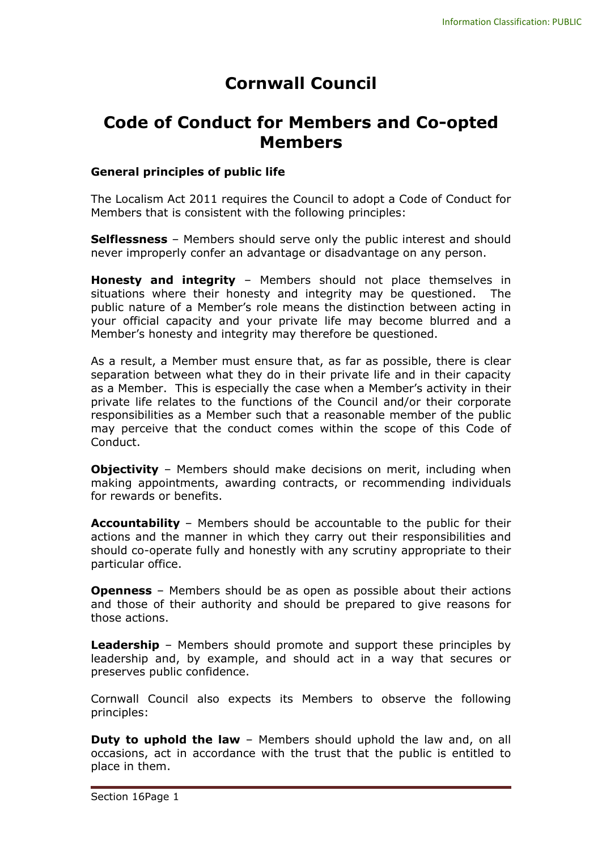# **Cornwall Council**

## **Code of Conduct for Members and Co-opted Members**

#### **General principles of public life**

The Localism Act 2011 requires the Council to adopt a Code of Conduct for Members that is consistent with the following principles:

**Selflessness** – Members should serve only the public interest and should never improperly confer an advantage or disadvantage on any person.

**Honesty and integrity** – Members should not place themselves in situations where their honesty and integrity may be questioned. The public nature of a Member's role means the distinction between acting in your official capacity and your private life may become blurred and a Member's honesty and integrity may therefore be questioned.

As a result, a Member must ensure that, as far as possible, there is clear separation between what they do in their private life and in their capacity as a Member. This is especially the case when a Member's activity in their private life relates to the functions of the Council and/or their corporate responsibilities as a Member such that a reasonable member of the public may perceive that the conduct comes within the scope of this Code of Conduct.

**Objectivity** – Members should make decisions on merit, including when making appointments, awarding contracts, or recommending individuals for rewards or benefits.

**Accountability** – Members should be accountable to the public for their actions and the manner in which they carry out their responsibilities and should co-operate fully and honestly with any scrutiny appropriate to their particular office.

**Openness** – Members should be as open as possible about their actions and those of their authority and should be prepared to give reasons for those actions.

**Leadership** – Members should promote and support these principles by leadership and, by example, and should act in a way that secures or preserves public confidence.

Cornwall Council also expects its Members to observe the following principles:

**Duty to uphold the law** – Members should uphold the law and, on all occasions, act in accordance with the trust that the public is entitled to place in them.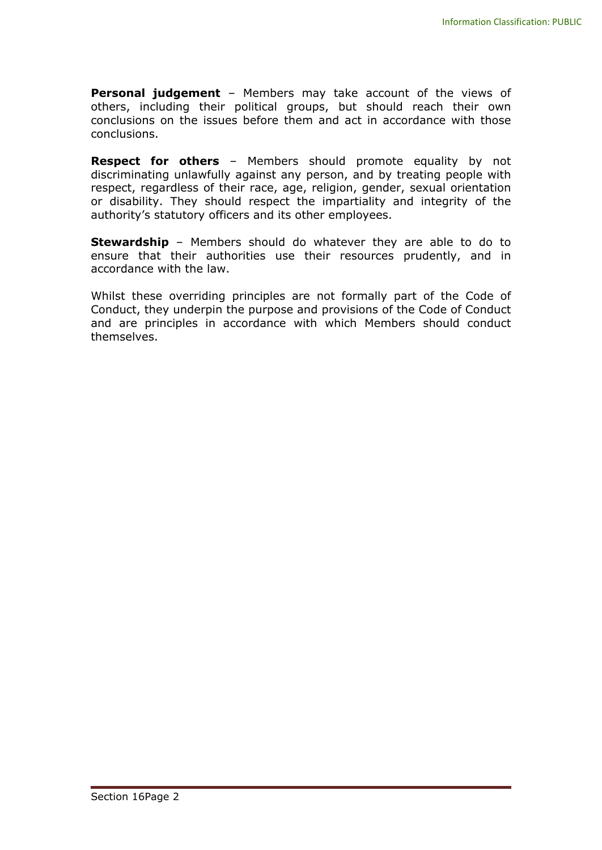**Personal judgement** – Members may take account of the views of others, including their political groups, but should reach their own conclusions on the issues before them and act in accordance with those conclusions.

**Respect for others** – Members should promote equality by not discriminating unlawfully against any person, and by treating people with respect, regardless of their race, age, religion, gender, sexual orientation or disability. They should respect the impartiality and integrity of the authority's statutory officers and its other employees.

**Stewardship** – Members should do whatever they are able to do to ensure that their authorities use their resources prudently, and in accordance with the law.

Whilst these overriding principles are not formally part of the Code of Conduct, they underpin the purpose and provisions of the Code of Conduct and are principles in accordance with which Members should conduct themselves.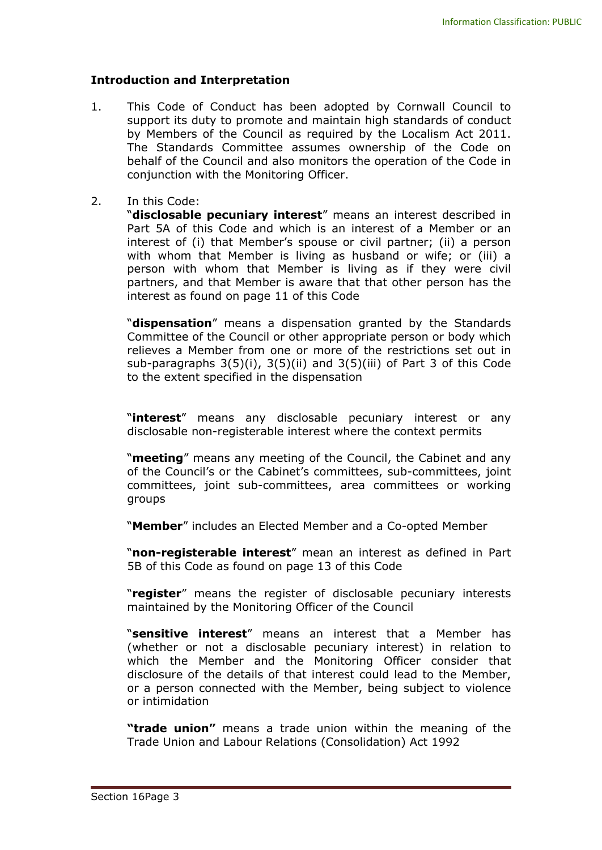#### **Introduction and Interpretation**

- 1. This Code of Conduct has been adopted by Cornwall Council to support its duty to promote and maintain high standards of conduct by Members of the Council as required by the Localism Act 2011. The Standards Committee assumes ownership of the Code on behalf of the Council and also monitors the operation of the Code in conjunction with the Monitoring Officer.
- 2. In this Code:

"**disclosable pecuniary interest**" means an interest described in Part 5A of this Code and which is an interest of a Member or an interest of (i) that Member's spouse or civil partner; (ii) a person with whom that Member is living as husband or wife; or (iii) a person with whom that Member is living as if they were civil partners, and that Member is aware that that other person has the interest as found on page 11 of this Code

"**dispensation**" means a dispensation granted by the Standards Committee of the Council or other appropriate person or body which relieves a Member from one or more of the restrictions set out in sub-paragraphs 3(5)(i), 3(5)(ii) and 3(5)(iii) of Part 3 of this Code to the extent specified in the dispensation

"**interest**" means any disclosable pecuniary interest or any disclosable non-registerable interest where the context permits

"**meeting**" means any meeting of the Council, the Cabinet and any of the Council's or the Cabinet's committees, sub-committees, joint committees, joint sub-committees, area committees or working groups

"**Member**" includes an Elected Member and a Co-opted Member

"**non-registerable interest**" mean an interest as defined in Part 5B of this Code as found on page 13 of this Code

"**register**" means the register of disclosable pecuniary interests maintained by the Monitoring Officer of the Council

"**sensitive interest**" means an interest that a Member has (whether or not a disclosable pecuniary interest) in relation to which the Member and the Monitoring Officer consider that disclosure of the details of that interest could lead to the Member, or a person connected with the Member, being subject to violence or intimidation

**"trade union"** means a trade union within the meaning of the Trade Union and Labour Relations (Consolidation) Act 1992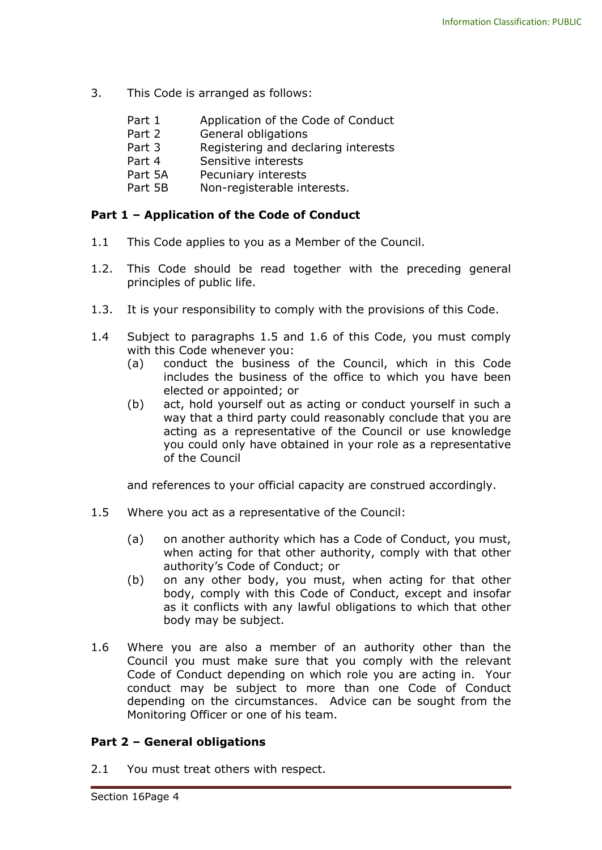- 3. This Code is arranged as follows:
	- Part 1 Application of the Code of Conduct
	- Part 2 General obligations
	- Part 3 Registering and declaring interests
	- Part 4 Sensitive interests
	- Part 5A Pecuniary interests
	- Part 5B Non-registerable interests.

#### **Part 1 – Application of the Code of Conduct**

- 1.1 This Code applies to you as a Member of the Council.
- 1.2. This Code should be read together with the preceding general principles of public life.
- 1.3. It is your responsibility to comply with the provisions of this Code.
- 1.4 Subject to paragraphs 1.5 and 1.6 of this Code, you must comply with this Code whenever you:
	- (a) conduct the business of the Council, which in this Code includes the business of the office to which you have been elected or appointed; or
	- (b) act, hold yourself out as acting or conduct yourself in such a way that a third party could reasonably conclude that you are acting as a representative of the Council or use knowledge you could only have obtained in your role as a representative of the Council

and references to your official capacity are construed accordingly.

- 1.5 Where you act as a representative of the Council:
	- (a) on another authority which has a Code of Conduct, you must, when acting for that other authority, comply with that other authority's Code of Conduct; or
	- (b) on any other body, you must, when acting for that other body, comply with this Code of Conduct, except and insofar as it conflicts with any lawful obligations to which that other body may be subject.
- 1.6 Where you are also a member of an authority other than the Council you must make sure that you comply with the relevant Code of Conduct depending on which role you are acting in. Your conduct may be subject to more than one Code of Conduct depending on the circumstances. Advice can be sought from the Monitoring Officer or one of his team.

#### **Part 2 – General obligations**

2.1 You must treat others with respect.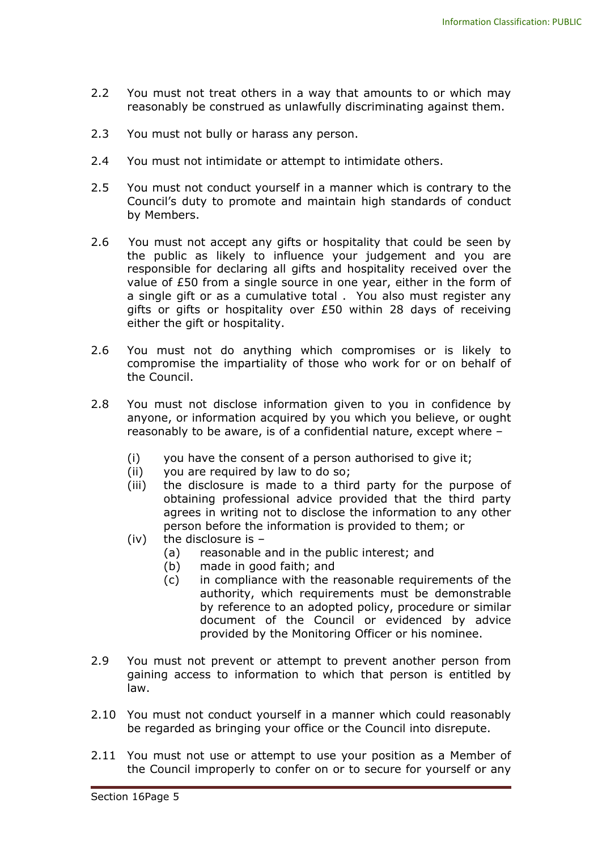- 2.2 You must not treat others in a way that amounts to or which may reasonably be construed as unlawfully discriminating against them.
- 2.3 You must not bully or harass any person.
- 2.4 You must not intimidate or attempt to intimidate others.
- 2.5 You must not conduct yourself in a manner which is contrary to the Council's duty to promote and maintain high standards of conduct by Members.
- 2.6 You must not accept any gifts or hospitality that could be seen by the public as likely to influence your judgement and you are responsible for declaring all gifts and hospitality received over the value of £50 from a single source in one year, either in the form of a single gift or as a cumulative total . You also must register any gifts or gifts or hospitality over £50 within 28 days of receiving either the gift or hospitality.
- 2.6 You must not do anything which compromises or is likely to compromise the impartiality of those who work for or on behalf of the Council.
- 2.8 You must not disclose information given to you in confidence by anyone, or information acquired by you which you believe, or ought reasonably to be aware, is of a confidential nature, except where –
	- (i) you have the consent of a person authorised to give it;
	- (ii) you are required by law to do so;
	- (iii) the disclosure is made to a third party for the purpose of obtaining professional advice provided that the third party agrees in writing not to disclose the information to any other person before the information is provided to them; or
	- (iv) the disclosure is  $-$ 
		- (a) reasonable and in the public interest; and
		- (b) made in good faith; and
		- (c) in compliance with the reasonable requirements of the authority, which requirements must be demonstrable by reference to an adopted policy, procedure or similar document of the Council or evidenced by advice provided by the Monitoring Officer or his nominee.
- 2.9 You must not prevent or attempt to prevent another person from gaining access to information to which that person is entitled by law.
- 2.10 You must not conduct yourself in a manner which could reasonably be regarded as bringing your office or the Council into disrepute.
- 2.11 You must not use or attempt to use your position as a Member of the Council improperly to confer on or to secure for yourself or any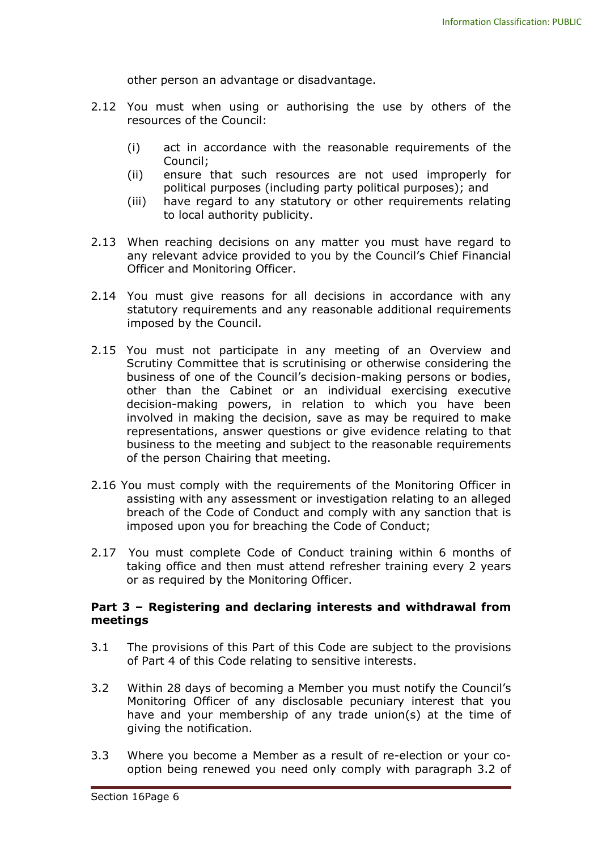other person an advantage or disadvantage.

- 2.12 You must when using or authorising the use by others of the resources of the Council:
	- (i) act in accordance with the reasonable requirements of the Council;
	- (ii) ensure that such resources are not used improperly for political purposes (including party political purposes); and
	- (iii) have regard to any statutory or other requirements relating to local authority publicity.
- 2.13 When reaching decisions on any matter you must have regard to any relevant advice provided to you by the Council's Chief Financial Officer and Monitoring Officer.
- 2.14 You must give reasons for all decisions in accordance with any statutory requirements and any reasonable additional requirements imposed by the Council.
- 2.15 You must not participate in any meeting of an Overview and Scrutiny Committee that is scrutinising or otherwise considering the business of one of the Council's decision-making persons or bodies, other than the Cabinet or an individual exercising executive decision-making powers, in relation to which you have been involved in making the decision, save as may be required to make representations, answer questions or give evidence relating to that business to the meeting and subject to the reasonable requirements of the person Chairing that meeting.
- 2.16 You must comply with the requirements of the Monitoring Officer in assisting with any assessment or investigation relating to an alleged breach of the Code of Conduct and comply with any sanction that is imposed upon you for breaching the Code of Conduct;
- 2.17 You must complete Code of Conduct training within 6 months of taking office and then must attend refresher training every 2 years or as required by the Monitoring Officer.

#### **Part 3 – Registering and declaring interests and withdrawal from meetings**

- 3.1 The provisions of this Part of this Code are subject to the provisions of Part 4 of this Code relating to sensitive interests.
- 3.2 Within 28 days of becoming a Member you must notify the Council's Monitoring Officer of any disclosable pecuniary interest that you have and your membership of any trade union(s) at the time of giving the notification.
- 3.3 Where you become a Member as a result of re-election or your cooption being renewed you need only comply with paragraph 3.2 of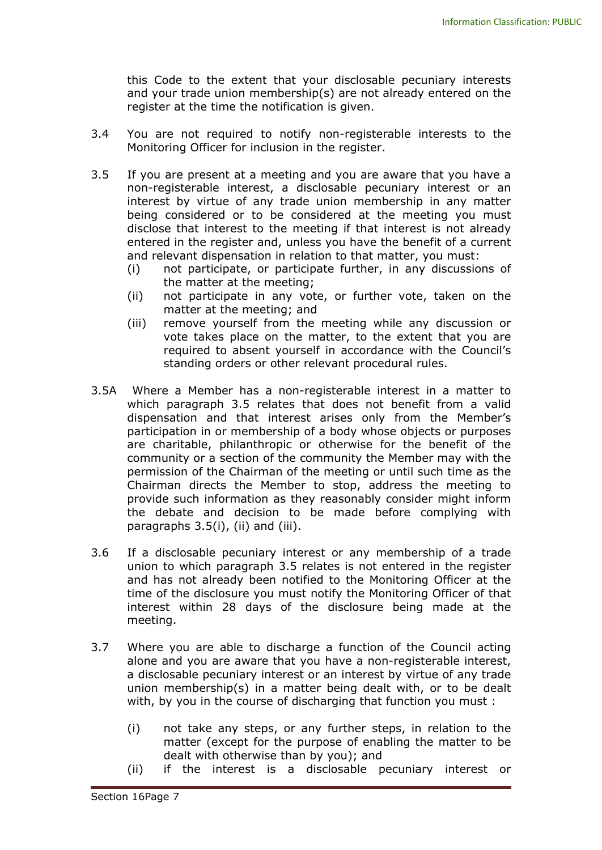this Code to the extent that your disclosable pecuniary interests and your trade union membership(s) are not already entered on the register at the time the notification is given.

- 3.4 You are not required to notify non-registerable interests to the Monitoring Officer for inclusion in the register.
- 3.5 If you are present at a meeting and you are aware that you have a non-registerable interest, a disclosable pecuniary interest or an interest by virtue of any trade union membership in any matter being considered or to be considered at the meeting you must disclose that interest to the meeting if that interest is not already entered in the register and, unless you have the benefit of a current and relevant dispensation in relation to that matter, you must:
	- (i) not participate, or participate further, in any discussions of the matter at the meeting;
	- (ii) not participate in any vote, or further vote, taken on the matter at the meeting; and
	- (iii) remove yourself from the meeting while any discussion or vote takes place on the matter, to the extent that you are required to absent yourself in accordance with the Council's standing orders or other relevant procedural rules.
- 3.5A Where a Member has a non-registerable interest in a matter to which paragraph 3.5 relates that does not benefit from a valid dispensation and that interest arises only from the Member's participation in or membership of a body whose objects or purposes are charitable, philanthropic or otherwise for the benefit of the community or a section of the community the Member may with the permission of the Chairman of the meeting or until such time as the Chairman directs the Member to stop, address the meeting to provide such information as they reasonably consider might inform the debate and decision to be made before complying with paragraphs 3.5(i), (ii) and (iii).
- 3.6 If a disclosable pecuniary interest or any membership of a trade union to which paragraph 3.5 relates is not entered in the register and has not already been notified to the Monitoring Officer at the time of the disclosure you must notify the Monitoring Officer of that interest within 28 days of the disclosure being made at the meeting.
- 3.7 Where you are able to discharge a function of the Council acting alone and you are aware that you have a non-registerable interest, a disclosable pecuniary interest or an interest by virtue of any trade union membership(s) in a matter being dealt with, or to be dealt with, by you in the course of discharging that function you must :
	- (i) not take any steps, or any further steps, in relation to the matter (except for the purpose of enabling the matter to be dealt with otherwise than by you); and
	- (ii) if the interest is a disclosable pecuniary interest or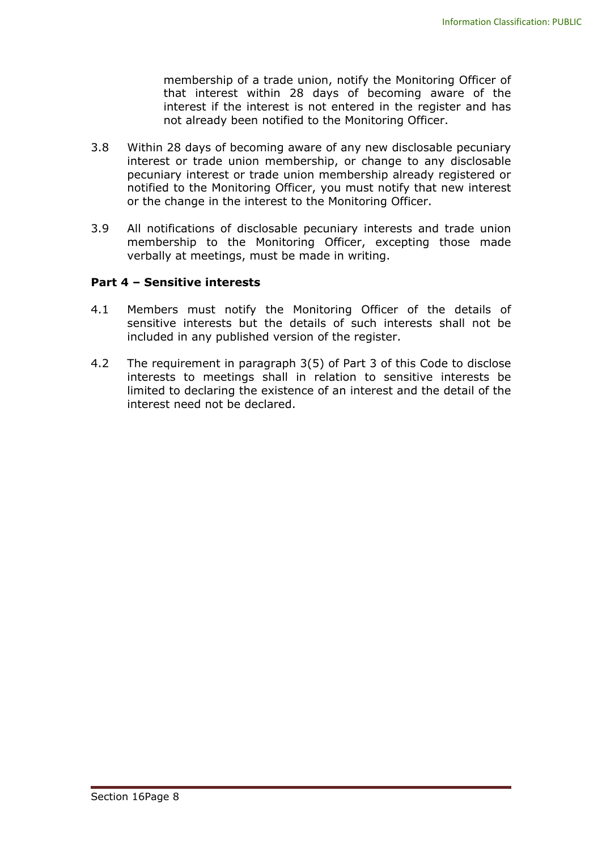membership of a trade union, notify the Monitoring Officer of that interest within 28 days of becoming aware of the interest if the interest is not entered in the register and has not already been notified to the Monitoring Officer.

- 3.8 Within 28 days of becoming aware of any new disclosable pecuniary interest or trade union membership, or change to any disclosable pecuniary interest or trade union membership already registered or notified to the Monitoring Officer, you must notify that new interest or the change in the interest to the Monitoring Officer.
- 3.9 All notifications of disclosable pecuniary interests and trade union membership to the Monitoring Officer, excepting those made verbally at meetings, must be made in writing.

#### **Part 4 – Sensitive interests**

- 4.1 Members must notify the Monitoring Officer of the details of sensitive interests but the details of such interests shall not be included in any published version of the register.
- 4.2 The requirement in paragraph 3(5) of Part 3 of this Code to disclose interests to meetings shall in relation to sensitive interests be limited to declaring the existence of an interest and the detail of the interest need not be declared.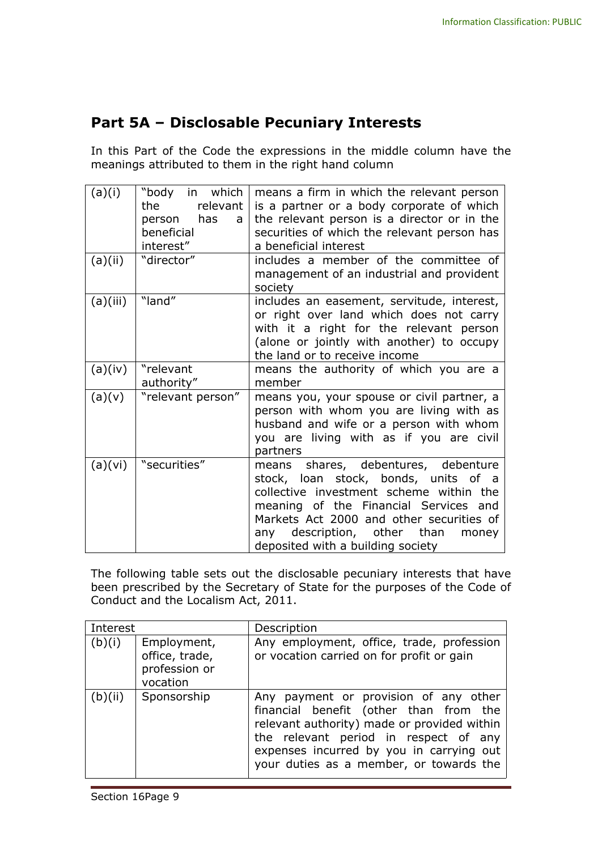### **Part 5A – Disclosable Pecuniary Interests**

In this Part of the Code the expressions in the middle column have the meanings attributed to them in the right hand column

| (a)(i)   | in which<br>"body<br>relevant<br>the<br>has<br>person<br>a<br>beneficial<br>interest" | means a firm in which the relevant person<br>is a partner or a body corporate of which<br>the relevant person is a director or in the<br>securities of which the relevant person has<br>a beneficial interest                                                                               |
|----------|---------------------------------------------------------------------------------------|---------------------------------------------------------------------------------------------------------------------------------------------------------------------------------------------------------------------------------------------------------------------------------------------|
| (a)(ii)  | "director"                                                                            | includes a member of the committee of<br>management of an industrial and provident<br>society                                                                                                                                                                                               |
| (a)(iii) | "land"                                                                                | includes an easement, servitude, interest,<br>or right over land which does not carry<br>with it a right for the relevant person<br>(alone or jointly with another) to occupy<br>the land or to receive income                                                                              |
| (a)(iv)  | "relevant<br>authority"                                                               | means the authority of which you are a<br>member                                                                                                                                                                                                                                            |
| (a)(v)   | "relevant person"                                                                     | means you, your spouse or civil partner, a<br>person with whom you are living with as<br>husband and wife or a person with whom<br>you are living with as if you are civil<br>partners                                                                                                      |
| (a)(vi)  | "securities"                                                                          | shares, debentures, debenture<br>means<br>stock, loan stock, bonds, units of a<br>collective investment scheme within the<br>meaning of the Financial Services and<br>Markets Act 2000 and other securities of<br>any description, other than<br>money<br>deposited with a building society |

The following table sets out the disclosable pecuniary interests that have been prescribed by the Secretary of State for the purposes of the Code of Conduct and the Localism Act, 2011.

| Interest |                                                            | Description                                                                                                                                                                                                                                                    |
|----------|------------------------------------------------------------|----------------------------------------------------------------------------------------------------------------------------------------------------------------------------------------------------------------------------------------------------------------|
| (b)(i)   | Employment,<br>office, trade,<br>profession or<br>vocation | Any employment, office, trade, profession<br>or vocation carried on for profit or gain                                                                                                                                                                         |
| (b)(ii)  | Sponsorship                                                | Any payment or provision of any other<br>financial benefit (other than from the<br>relevant authority) made or provided within<br>the relevant period in respect of any<br>expenses incurred by you in carrying out<br>your duties as a member, or towards the |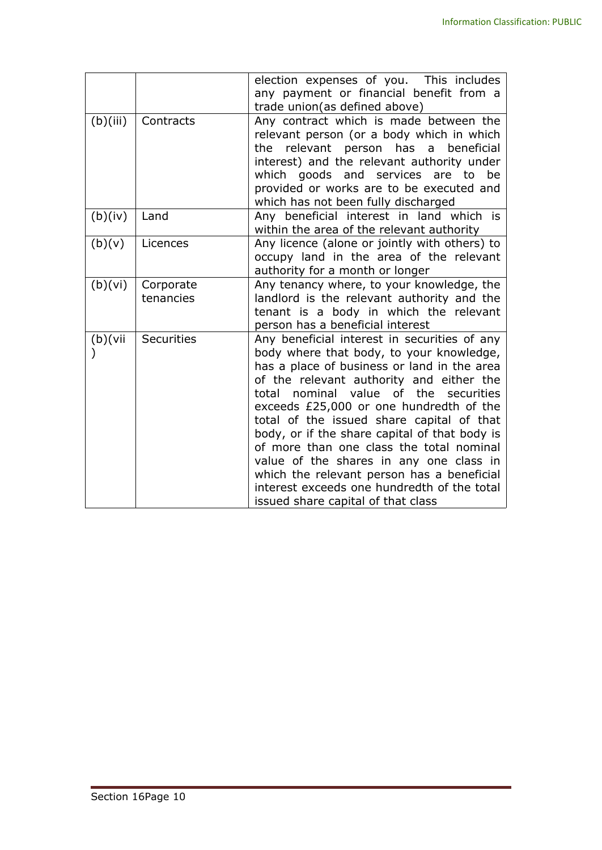|          |                   | election expenses of you. This includes       |
|----------|-------------------|-----------------------------------------------|
|          |                   | any payment or financial benefit from a       |
|          |                   | trade union(as defined above)                 |
| (b)(iii) | Contracts         | Any contract which is made between the        |
|          |                   | relevant person (or a body which in which     |
|          |                   | the relevant person has a<br>beneficial       |
|          |                   | interest) and the relevant authority under    |
|          |                   | which goods and services are to be            |
|          |                   | provided or works are to be executed and      |
|          |                   | which has not been fully discharged           |
| (b)(iv)  | Land              | Any beneficial interest in land which is      |
|          |                   | within the area of the relevant authority     |
| (b)(v)   | Licences          | Any licence (alone or jointly with others) to |
|          |                   | occupy land in the area of the relevant       |
|          |                   | authority for a month or longer               |
| (b)(vi)  | Corporate         | Any tenancy where, to your knowledge, the     |
|          | tenancies         | landlord is the relevant authority and the    |
|          |                   | tenant is a body in which the relevant        |
|          |                   | person has a beneficial interest              |
| (b)(vii) | <b>Securities</b> | Any beneficial interest in securities of any  |
|          |                   | body where that body, to your knowledge,      |
|          |                   | has a place of business or land in the area   |
|          |                   | of the relevant authority and either the      |
|          |                   | total nominal value of the securities         |
|          |                   | exceeds £25,000 or one hundredth of the       |
|          |                   | total of the issued share capital of that     |
|          |                   | body, or if the share capital of that body is |
|          |                   | of more than one class the total nominal      |
|          |                   | value of the shares in any one class in       |
|          |                   | which the relevant person has a beneficial    |
|          |                   | interest exceeds one hundredth of the total   |
|          |                   | issued share capital of that class            |